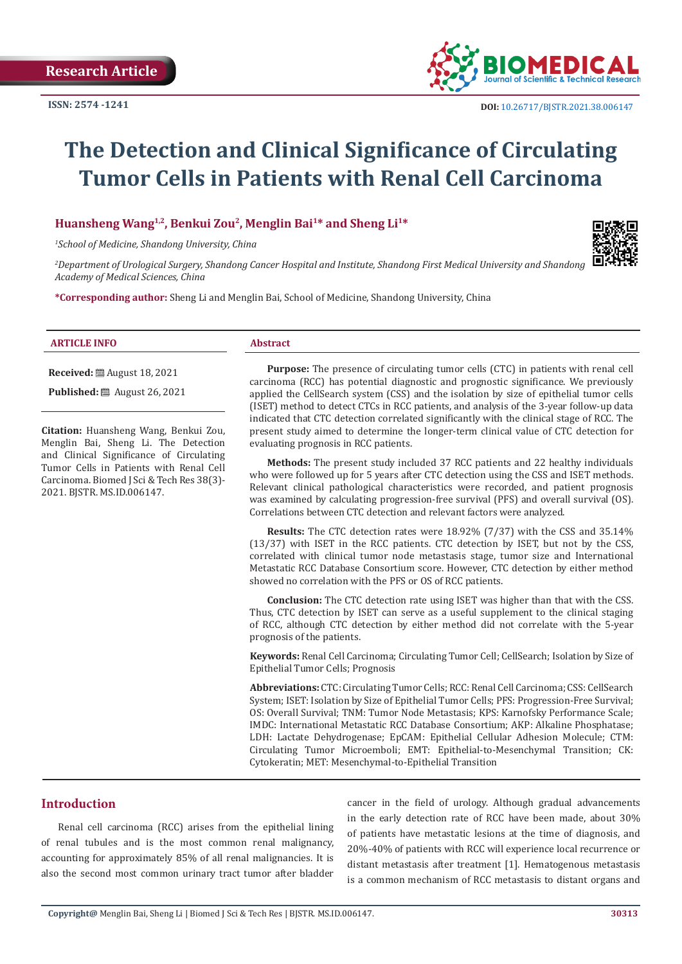

# **The Detection and Clinical Significance of Circulating Tumor Cells in Patients with Renal Cell Carcinoma**

**Huansheng Wang1,2, Benkui Zou2, Menglin Bai1\* and Sheng Li1\***

*1 School of Medicine, Shandong University, China*



*2 Department of Urological Surgery, Shandong Cancer Hospital and Institute, Shandong First Medical University and Shandong Academy of Medical Sciences, China*

**\*Corresponding author:** Sheng Li and Menglin Bai, School of Medicine, Shandong University, China

#### **ARTICLE INFO Abstract**

**Received:** August 18, 2021

**Published:** ■ August 26, 2021

**Citation:** Huansheng Wang, Benkui Zou, Menglin Bai, Sheng Li. The Detection and Clinical Significance of Circulating Tumor Cells in Patients with Renal Cell Carcinoma. Biomed J Sci & Tech Res 38(3)- 2021. BJSTR. MS.ID.006147.

**Purpose:** The presence of circulating tumor cells (CTC) in patients with renal cell carcinoma (RCC) has potential diagnostic and prognostic significance. We previously applied the CellSearch system (CSS) and the isolation by size of epithelial tumor cells (ISET) method to detect CTCs in RCC patients, and analysis of the 3-year follow-up data indicated that CTC detection correlated significantly with the clinical stage of RCC. The present study aimed to determine the longer-term clinical value of CTC detection for evaluating prognosis in RCC patients.

**Methods:** The present study included 37 RCC patients and 22 healthy individuals who were followed up for 5 years after CTC detection using the CSS and ISET methods. Relevant clinical pathological characteristics were recorded, and patient prognosis was examined by calculating progression-free survival (PFS) and overall survival (OS). Correlations between CTC detection and relevant factors were analyzed.

**Results:** The CTC detection rates were 18.92% (7/37) with the CSS and 35.14% (13/37) with ISET in the RCC patients. CTC detection by ISET, but not by the CSS, correlated with clinical tumor node metastasis stage, tumor size and International Metastatic RCC Database Consortium score. However, CTC detection by either method showed no correlation with the PFS or OS of RCC patients.

**Conclusion:** The CTC detection rate using ISET was higher than that with the CSS. Thus, CTC detection by ISET can serve as a useful supplement to the clinical staging of RCC, although CTC detection by either method did not correlate with the 5-year prognosis of the patients.

**Keywords:** Renal Cell Carcinoma; Circulating Tumor Cell; CellSearch; Isolation by Size of Epithelial Tumor Cells; Prognosis

**Abbreviations:** CTC: Circulating Tumor Cells; RCC: Renal Cell Carcinoma; CSS: CellSearch System; ISET: Isolation by Size of Epithelial Tumor Cells; PFS: Progression-Free Survival; OS: Overall Survival; TNM: Tumor Node Metastasis; KPS: Karnofsky Performance Scale; IMDC: International Metastatic RCC Database Consortium; AKP: Alkaline Phosphatase; LDH: Lactate Dehydrogenase; EpCAM: Epithelial Cellular Adhesion Molecule; CTM: Circulating Tumor Microemboli; EMT: Epithelial-to-Mesenchymal Transition; CK: Cytokeratin; MET: Mesenchymal-to-Epithelial Transition

# **Introduction**

Renal cell carcinoma (RCC) arises from the epithelial lining of renal tubules and is the most common renal malignancy, accounting for approximately 85% of all renal malignancies. It is also the second most common urinary tract tumor after bladder

cancer in the field of urology. Although gradual advancements in the early detection rate of RCC have been made, about 30% of patients have metastatic lesions at the time of diagnosis, and 20%-40% of patients with RCC will experience local recurrence or distant metastasis after treatment [1]. Hematogenous metastasis is a common mechanism of RCC metastasis to distant organs and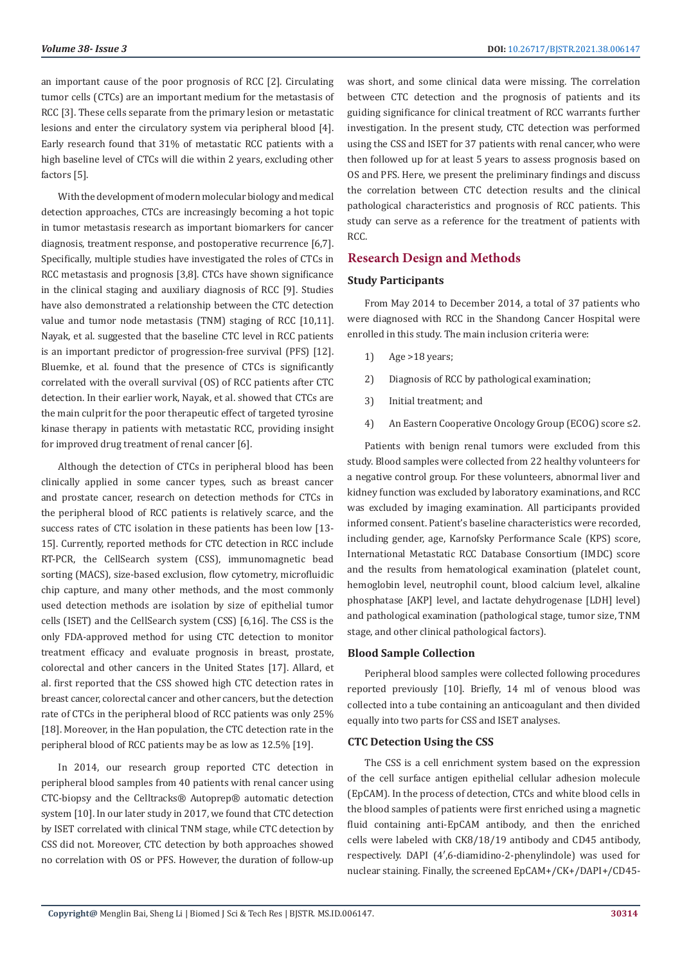an important cause of the poor prognosis of RCC [2]. Circulating tumor cells (CTCs) are an important medium for the metastasis of RCC [3]. These cells separate from the primary lesion or metastatic lesions and enter the circulatory system via peripheral blood [4]. Early research found that 31% of metastatic RCC patients with a high baseline level of CTCs will die within 2 years, excluding other factors [5].

With the development of modern molecular biology and medical detection approaches, CTCs are increasingly becoming a hot topic in tumor metastasis research as important biomarkers for cancer diagnosis, treatment response, and postoperative recurrence [6,7]. Specifically, multiple studies have investigated the roles of CTCs in RCC metastasis and prognosis [3,8]. CTCs have shown significance in the clinical staging and auxiliary diagnosis of RCC [9]. Studies have also demonstrated a relationship between the CTC detection value and tumor node metastasis (TNM) staging of RCC [10,11]. Nayak, et al. suggested that the baseline CTC level in RCC patients is an important predictor of progression-free survival (PFS) [12]. Bluemke, et al. found that the presence of CTCs is significantly correlated with the overall survival (OS) of RCC patients after CTC detection. In their earlier work, Nayak, et al. showed that CTCs are the main culprit for the poor therapeutic effect of targeted tyrosine kinase therapy in patients with metastatic RCC, providing insight for improved drug treatment of renal cancer [6].

Although the detection of CTCs in peripheral blood has been clinically applied in some cancer types, such as breast cancer and prostate cancer, research on detection methods for CTCs in the peripheral blood of RCC patients is relatively scarce, and the success rates of CTC isolation in these patients has been low [13- 15]. Currently, reported methods for CTC detection in RCC include RT-PCR, the CellSearch system (CSS), immunomagnetic bead sorting (MACS), size-based exclusion, flow cytometry, microfluidic chip capture, and many other methods, and the most commonly used detection methods are isolation by size of epithelial tumor cells (ISET) and the CellSearch system (CSS) [6,16]. The CSS is the only FDA-approved method for using CTC detection to monitor treatment efficacy and evaluate prognosis in breast, prostate, colorectal and other cancers in the United States [17]. Allard, et al. first reported that the CSS showed high CTC detection rates in breast cancer, colorectal cancer and other cancers, but the detection rate of CTCs in the peripheral blood of RCC patients was only 25% [18]. Moreover, in the Han population, the CTC detection rate in the peripheral blood of RCC patients may be as low as 12.5% [19].

In 2014, our research group reported CTC detection in peripheral blood samples from 40 patients with renal cancer using CTC-biopsy and the Celltracks® Autoprep® automatic detection system [10]. In our later study in 2017, we found that CTC detection by ISET correlated with clinical TNM stage, while CTC detection by CSS did not. Moreover, CTC detection by both approaches showed no correlation with OS or PFS. However, the duration of follow-up

was short, and some clinical data were missing. The correlation between CTC detection and the prognosis of patients and its guiding significance for clinical treatment of RCC warrants further investigation. In the present study, CTC detection was performed using the CSS and ISET for 37 patients with renal cancer, who were then followed up for at least 5 years to assess prognosis based on OS and PFS. Here, we present the preliminary findings and discuss the correlation between CTC detection results and the clinical pathological characteristics and prognosis of RCC patients. This study can serve as a reference for the treatment of patients with RCC.

# **Research Design and Methods**

# **Study Participants**

From May 2014 to December 2014, a total of 37 patients who were diagnosed with RCC in the Shandong Cancer Hospital were enrolled in this study. The main inclusion criteria were:

- 1) Age >18 years;
- 2) Diagnosis of RCC by pathological examination;
- 3) Initial treatment; and
- 4) An Eastern Cooperative Oncology Group (ECOG) score ≤2.

Patients with benign renal tumors were excluded from this study. Blood samples were collected from 22 healthy volunteers for a negative control group. For these volunteers, abnormal liver and kidney function was excluded by laboratory examinations, and RCC was excluded by imaging examination. All participants provided informed consent. Patient's baseline characteristics were recorded, including gender, age, Karnofsky Performance Scale (KPS) score, International Metastatic RCC Database Consortium (IMDC) score and the results from hematological examination (platelet count, hemoglobin level, neutrophil count, blood calcium level, alkaline phosphatase [AKP] level, and lactate dehydrogenase [LDH] level) and pathological examination (pathological stage, tumor size, TNM stage, and other clinical pathological factors).

#### **Blood Sample Collection**

Peripheral blood samples were collected following procedures reported previously [10]. Briefly, 14 ml of venous blood was collected into a tube containing an anticoagulant and then divided equally into two parts for CSS and ISET analyses.

#### **CTC Detection Using the CSS**

The CSS is a cell enrichment system based on the expression of the cell surface antigen epithelial cellular adhesion molecule (EpCAM). In the process of detection, CTCs and white blood cells in the blood samples of patients were first enriched using a magnetic fluid containing anti-EpCAM antibody, and then the enriched cells were labeled with CK8/18/19 antibody and CD45 antibody, respectively. DAPI (4′,6-diamidino-2-phenylindole) was used for nuclear staining. Finally, the screened EpCAM+/CK+/DAPI+/CD45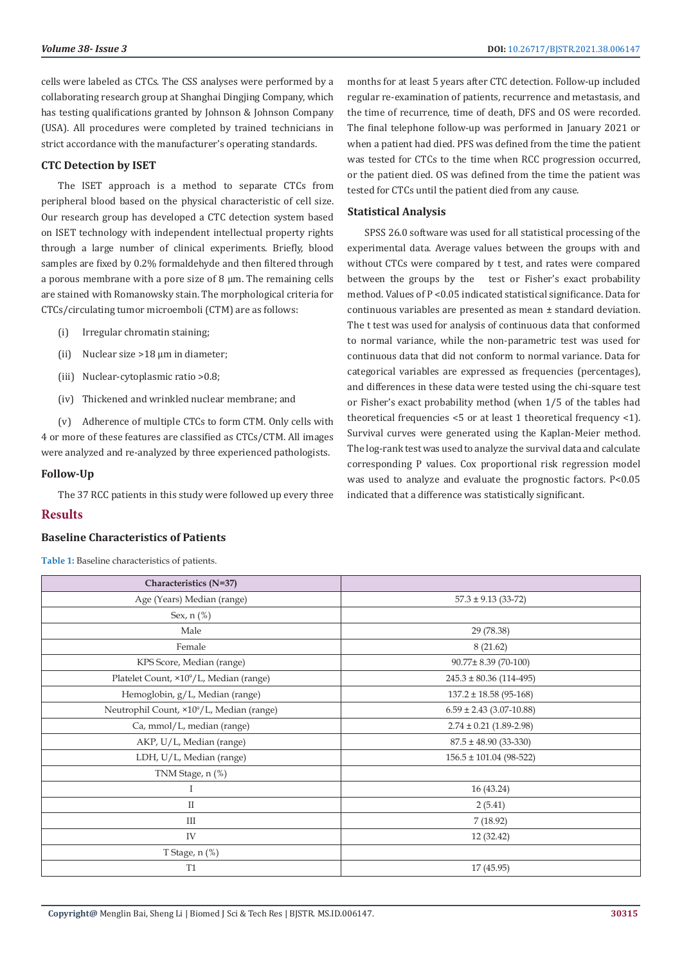cells were labeled as CTCs. The CSS analyses were performed by a collaborating research group at Shanghai Dingjing Company, which has testing qualifications granted by Johnson & Johnson Company (USA). All procedures were completed by trained technicians in strict accordance with the manufacturer's operating standards.

# **CTC Detection by ISET**

The ISET approach is a method to separate CTCs from peripheral blood based on the physical characteristic of cell size. Our research group has developed a CTC detection system based on ISET technology with independent intellectual property rights through a large number of clinical experiments. Briefly, blood samples are fixed by 0.2% formaldehyde and then filtered through a porous membrane with a pore size of  $8 \mu m$ . The remaining cells are stained with Romanowsky stain. The morphological criteria for CTCs/circulating tumor microemboli (CTM) are as follows:

- (i) Irregular chromatin staining;
- (ii) Nuclear size >18 µm in diameter;
- (iii) Nuclear-cytoplasmic ratio >0.8;
- (iv) Thickened and wrinkled nuclear membrane; and

(v) Adherence of multiple CTCs to form CTM. Only cells with 4 or more of these features are classified as CTCs/CTM. All images were analyzed and re-analyzed by three experienced pathologists.

### **Follow-Up**

The 37 RCC patients in this study were followed up every three

# **Results**

## **Baseline Characteristics of Patients**

**Table 1:** Baseline characteristics of patients.

months for at least 5 years after CTC detection. Follow-up included regular re-examination of patients, recurrence and metastasis, and the time of recurrence, time of death, DFS and OS were recorded. The final telephone follow-up was performed in January 2021 or when a patient had died. PFS was defined from the time the patient was tested for CTCs to the time when RCC progression occurred, or the patient died. OS was defined from the time the patient was tested for CTCs until the patient died from any cause.

# **Statistical Analysis**

SPSS 26.0 software was used for all statistical processing of the experimental data. Average values between the groups with and without CTCs were compared by t test, and rates were compared between the groups by the test or Fisher's exact probability method. Values of P <0.05 indicated statistical significance. Data for continuous variables are presented as mean ± standard deviation. The t test was used for analysis of continuous data that conformed to normal variance, while the non-parametric test was used for continuous data that did not conform to normal variance. Data for categorical variables are expressed as frequencies (percentages), and differences in these data were tested using the chi-square test or Fisher's exact probability method (when 1/5 of the tables had theoretical frequencies <5 or at least 1 theoretical frequency <1). Survival curves were generated using the Kaplan-Meier method. The log-rank test was used to analyze the survival data and calculate corresponding P values. Cox proportional risk regression model was used to analyze and evaluate the prognostic factors. P<0.05 indicated that a difference was statistically significant.

| Characteristics (N=37)                                |                              |
|-------------------------------------------------------|------------------------------|
| Age (Years) Median (range)                            | $57.3 \pm 9.13$ (33-72)      |
| Sex, n (%)                                            |                              |
| Male                                                  | 29 (78.38)                   |
| Female                                                | 8(21.62)                     |
| KPS Score, Median (range)                             | 90.77±8.39 (70-100)          |
| Platelet Count, ×10 <sup>9</sup> /L, Median (range)   | $245.3 \pm 80.36$ (114-495)  |
| Hemoglobin, g/L, Median (range)                       | $137.2 \pm 18.58$ (95-168)   |
| Neutrophil Count, ×10 <sup>9</sup> /L, Median (range) | $6.59 \pm 2.43$ (3.07-10.88) |
| Ca, mmol/L, median (range)                            | $2.74 \pm 0.21$ (1.89-2.98)  |
| AKP, U/L, Median (range)                              | $87.5 \pm 48.90(33-330)$     |
| LDH, U/L, Median (range)                              | $156.5 \pm 101.04$ (98-522)  |
| TNM Stage, n (%)                                      |                              |
| Ι                                                     | 16 (43.24)                   |
| $\mathbf{I}$                                          | 2(5.41)                      |
| III                                                   | 7(18.92)                     |
| IV                                                    | 12 (32.42)                   |
| T Stage, n (%)                                        |                              |
| T <sub>1</sub>                                        | 17 (45.95)                   |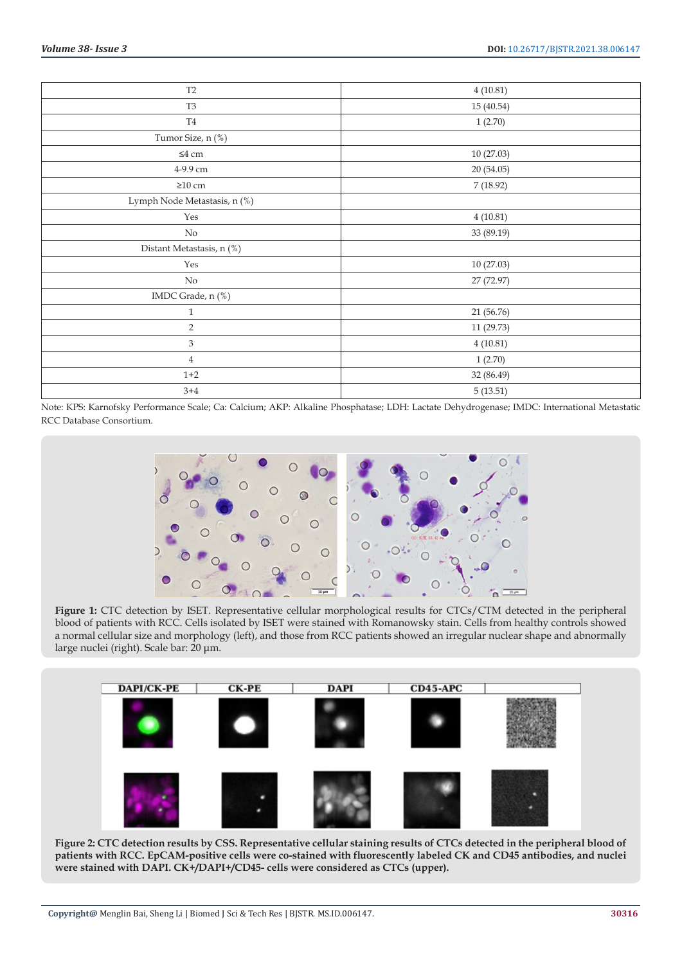| T <sub>2</sub>               | 4(10.81)   |
|------------------------------|------------|
| T <sub>3</sub>               | 15 (40.54) |
| T <sub>4</sub>               | 1(2.70)    |
| Tumor Size, n (%)            |            |
| $\leq\!\!4$ cm               | 10(27.03)  |
| 4-9.9 cm                     | 20 (54.05) |
| $\geq$ 10 cm                 | 7(18.92)   |
| Lymph Node Metastasis, n (%) |            |
| Yes                          | 4(10.81)   |
| No                           | 33 (89.19) |
| Distant Metastasis, n (%)    |            |
| Yes                          | 10 (27.03) |
| No                           | 27 (72.97) |
| IMDC Grade, n (%)            |            |
| $\mathbf{1}$                 | 21 (56.76) |
| $\overline{2}$               | 11 (29.73) |
| $\ensuremath{\mathbf{3}}$    | 4(10.81)   |
| $\overline{4}$               | 1(2.70)    |
| $1 + 2$                      | 32 (86.49) |
| $3 + 4$                      | 5(13.51)   |

Note: KPS: Karnofsky Performance Scale; Ca: Calcium; AKP: Alkaline Phosphatase; LDH: Lactate Dehydrogenase; IMDC: International Metastatic RCC Database Consortium.



Figure 1: CTC detection by ISET. Representative cellular morphological results for CTCs/CTM detected in the peripheral blood of patients with RCC. Cells isolated by ISET were stained with Romanowsky stain. Cells from healthy controls showed a normal cellular size and morphology (left), and those from RCC patients showed an irregular nuclear shape and abnormally large nuclei (right). Scale bar: 20 μm.



**Figure 2: CTC detection results by CSS. Representative cellular staining results of CTCs detected in the peripheral blood of patients with RCC. EpCAM-positive cells were co-stained with fluorescently labeled CK and CD45 antibodies, and nuclei were stained with DAPI. CK+/DAPI+/CD45- cells were considered as CTCs (upper).**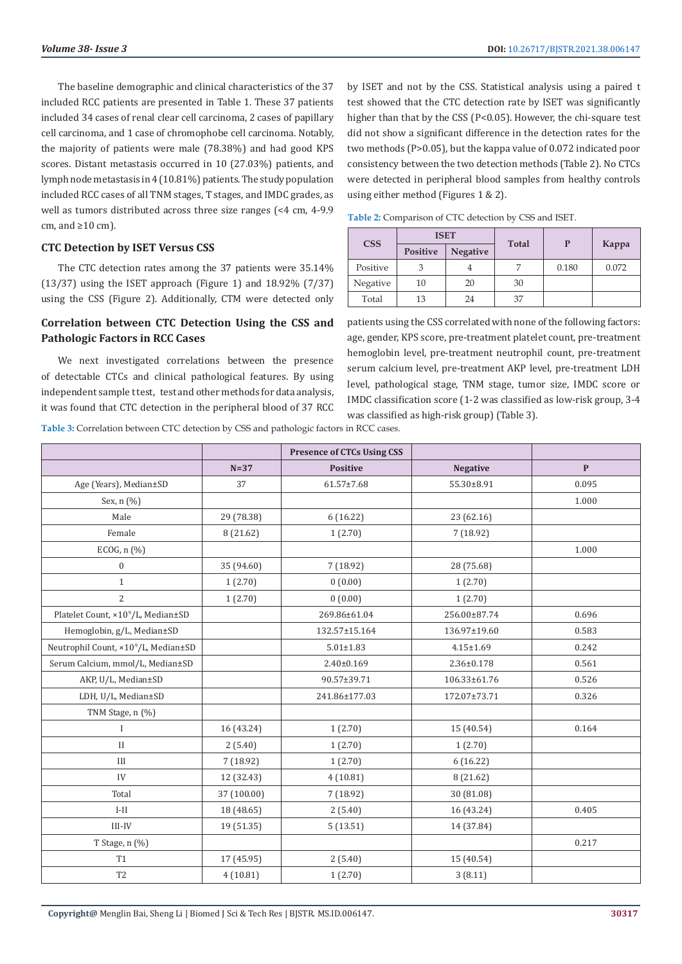The baseline demographic and clinical characteristics of the 37 included RCC patients are presented in Table 1. These 37 patients included 34 cases of renal clear cell carcinoma, 2 cases of papillary cell carcinoma, and 1 case of chromophobe cell carcinoma. Notably, the majority of patients were male (78.38%) and had good KPS scores. Distant metastasis occurred in 10 (27.03%) patients, and lymph node metastasis in 4 (10.81%) patients. The study population included RCC cases of all TNM stages, T stages, and IMDC grades, as well as tumors distributed across three size ranges (<4 cm, 4-9.9 cm, and  $\geq 10$  cm).

### **CTC Detection by ISET Versus CSS**

The CTC detection rates among the 37 patients were 35.14% (13/37) using the ISET approach (Figure 1) and 18.92% (7/37) using the CSS (Figure 2). Additionally, CTM were detected only

# **Correlation between CTC Detection Using the CSS and Pathologic Factors in RCC Cases**

We next investigated correlations between the presence of detectable CTCs and clinical pathological features. By using independent sample t test, test and other methods for data analysis, it was found that CTC detection in the peripheral blood of 37 RCC

by ISET and not by the CSS. Statistical analysis using a paired t test showed that the CTC detection rate by ISET was significantly higher than that by the CSS (P<0.05). However, the chi-square test did not show a significant difference in the detection rates for the two methods (P>0.05), but the kappa value of 0.072 indicated poor consistency between the two detection methods (Table 2). No CTCs were detected in peripheral blood samples from healthy controls using either method (Figures 1 & 2).

**Table 2:** Comparison of CTC detection by CSS and ISET.

| <b>ISET</b><br><b>CSS</b> |          |                 |            |       |       |  |
|---------------------------|----------|-----------------|------------|-------|-------|--|
|                           | Positive | <b>Negative</b> | Total<br>P |       | Kappa |  |
| Positive                  |          |                 |            | 0.180 | 0.072 |  |
| Negative                  | 10       | 20              | 30         |       |       |  |
| Total                     | 13       | 24              | 37         |       |       |  |

patients using the CSS correlated with none of the following factors: age, gender, KPS score, pre-treatment platelet count, pre-treatment hemoglobin level, pre-treatment neutrophil count, pre-treatment serum calcium level, pre-treatment AKP level, pre-treatment LDH level, pathological stage, TNM stage, tumor size, IMDC score or IMDC classification score (1-2 was classified as low-risk group, 3-4 was classified as high-risk group) (Table 3).

**Table 3:** Correlation between CTC detection by CSS and pathologic factors in RCC cases.

|                                                |             | <b>Presence of CTCs Using CSS</b> |                  |              |
|------------------------------------------------|-------------|-----------------------------------|------------------|--------------|
|                                                | $N=37$      | <b>Positive</b>                   | <b>Negative</b>  | $\mathbf{P}$ |
| Age (Years), Median±SD                         | 37          | 61.57±7.68                        | 55.30±8.91       | 0.095        |
| Sex, n (%)                                     |             |                                   |                  | 1.000        |
| Male                                           | 29 (78.38)  | 6(16.22)                          | 23 (62.16)       |              |
| Female                                         | 8 (21.62)   | 1(2.70)                           | 7(18.92)         |              |
| ECOG, $n$ (%)                                  |             |                                   |                  | 1.000        |
| $\boldsymbol{0}$                               | 35 (94.60)  | 7(18.92)                          | 28 (75.68)       |              |
| $\mathbf{1}$                                   | 1(2.70)     | 0(0.00)                           | 1(2.70)          |              |
| $\overline{c}$                                 | 1(2.70)     | 0(0.00)                           | 1(2.70)          |              |
| Platelet Count, ×10 <sup>9</sup> /L, Median±SD |             | 269.86±61.04                      | 256.00±87.74     | 0.696        |
| Hemoglobin, g/L, Median±SD                     |             | 132.57±15.164                     | 136.97±19.60     | 0.583        |
| Neutrophil Count, ×109/L, Median±SD            |             | $5.01 \pm 1.83$                   | $4.15 \pm 1.69$  | 0.242        |
| Serum Calcium, mmol/L, Median±SD               |             | $2.40 \pm 0.169$                  | $2.36 \pm 0.178$ | 0.561        |
| AKP, U/L, Median±SD                            |             | 90.57±39.71                       | 106.33±61.76     | 0.526        |
| LDH, U/L, Median±SD                            |             | 241.86±177.03                     | 172.07±73.71     | 0.326        |
| TNM Stage, n (%)                               |             |                                   |                  |              |
| $\bf{I}$                                       | 16 (43.24)  | 1(2.70)                           | 15 (40.54)       | 0.164        |
| $\mathbf{I}$                                   | 2(5.40)     | 1(2.70)                           | 1(2.70)          |              |
| III                                            | 7(18.92)    | 1(2.70)                           | 6(16.22)         |              |
| IV                                             | 12 (32.43)  | 4(10.81)                          | 8 (21.62)        |              |
| Total                                          | 37 (100.00) | 7 (18.92)                         | 30 (81.08)       |              |
| $I-II$                                         | 18 (48.65)  | 2(5.40)                           | 16 (43.24)       | 0.405        |
| $III$ - $IV$                                   | 19 (51.35)  | 5(13.51)                          | 14 (37.84)       |              |
| T Stage, n (%)                                 |             |                                   |                  | 0.217        |
| <b>T1</b>                                      | 17 (45.95)  | 2(5.40)                           | 15 (40.54)       |              |
| T <sub>2</sub>                                 | 4(10.81)    | 1(2.70)                           | 3(8.11)          |              |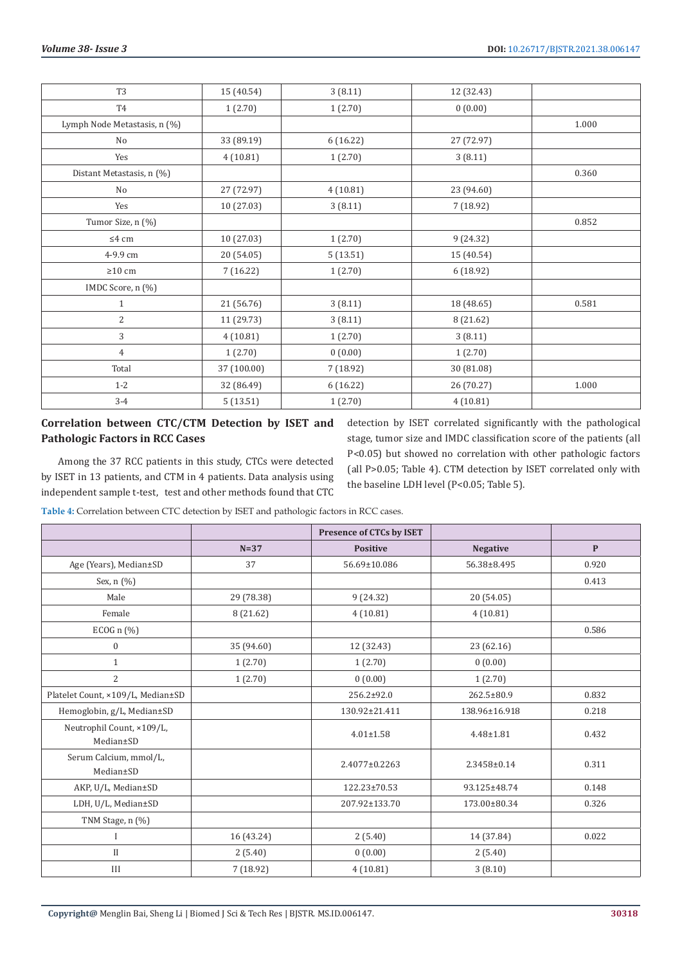| T <sub>3</sub>               | 15 (40.54)  | 3(8.11)   | 12 (32.43) |       |
|------------------------------|-------------|-----------|------------|-------|
| T <sub>4</sub>               | 1(2.70)     | 1(2.70)   | 0(0.00)    |       |
| Lymph Node Metastasis, n (%) |             |           |            | 1.000 |
| No                           | 33 (89.19)  | 6(16.22)  | 27 (72.97) |       |
| Yes                          | 4(10.81)    | 1(2.70)   | 3(8.11)    |       |
| Distant Metastasis, n (%)    |             |           |            | 0.360 |
| No                           | 27 (72.97)  | 4(10.81)  | 23 (94.60) |       |
| Yes                          | 10(27.03)   | 3(8.11)   | 7 (18.92)  |       |
| Tumor Size, n (%)            |             |           |            | 0.852 |
| $\leq 4$ cm                  | 10 (27.03)  | 1(2.70)   | 9(24.32)   |       |
| 4-9.9 cm                     | 20 (54.05)  | 5(13.51)  | 15 (40.54) |       |
| $\geq 10$ cm                 | 7(16.22)    | 1(2.70)   | 6 (18.92)  |       |
| IMDC Score, n (%)            |             |           |            |       |
| $\mathbf{1}$                 | 21 (56.76)  | 3(8.11)   | 18 (48.65) | 0.581 |
| 2                            | 11 (29.73)  | 3(8.11)   | 8 (21.62)  |       |
| 3                            | 4(10.81)    | 1(2.70)   | 3(8.11)    |       |
| $\overline{4}$               | 1(2.70)     | 0(0.00)   | 1(2.70)    |       |
| Total                        | 37 (100.00) | 7 (18.92) | 30 (81.08) |       |
| $1 - 2$                      | 32 (86.49)  | 6(16.22)  | 26 (70.27) | 1.000 |
| $3-4$                        | 5(13.51)    | 1(2.70)   | 4(10.81)   |       |

# **Correlation between CTC/CTM Detection by ISET and Pathologic Factors in RCC Cases**

Among the 37 RCC patients in this study, CTCs were detected by ISET in 13 patients, and CTM in 4 patients. Data analysis using independent sample t-test, test and other methods found that CTC

detection by ISET correlated significantly with the pathological stage, tumor size and IMDC classification score of the patients (all P<0.05) but showed no correlation with other pathologic factors (all P>0.05; Table 4). CTM detection by ISET correlated only with the baseline LDH level (P<0.05; Table 5).

**Table 4:** Correlation between CTC detection by ISET and pathologic factors in RCC cases.

|                                        |            | <b>Presence of CTCs by ISET</b> |                 |              |
|----------------------------------------|------------|---------------------------------|-----------------|--------------|
|                                        | $N=37$     | <b>Positive</b>                 | <b>Negative</b> | $\mathbf{P}$ |
| Age (Years), Median±SD                 | 37         | 56.69±10.086                    | 56.38±8.495     | 0.920        |
| Sex, n (%)                             |            |                                 |                 | 0.413        |
| Male                                   | 29 (78.38) | 9(24.32)                        | 20 (54.05)      |              |
| Female                                 | 8 (21.62)  | 4(10.81)                        | 4(10.81)        |              |
| ECOG $n$ (%)                           |            |                                 |                 | 0.586        |
| $\boldsymbol{0}$                       | 35 (94.60) | 12 (32.43)                      | 23 (62.16)      |              |
| $\mathbf{1}$                           | 1(2.70)    | 1(2.70)                         | 0(0.00)         |              |
| $\overline{2}$                         | 1(2.70)    | 0(0.00)                         | 1(2.70)         |              |
| Platelet Count, ×109/L, Median±SD      |            | 256.2±92.0                      | 262.5±80.9      | 0.832        |
| Hemoglobin, g/L, Median±SD             |            | 130.92±21.411                   | 138.96±16.918   | 0.218        |
| Neutrophil Count, ×109/L,<br>Median±SD |            | $4.01 \pm 1.58$                 | $4.48 \pm 1.81$ | 0.432        |
| Serum Calcium, mmol/L,<br>Median±SD    |            | 2.4077±0.2263                   | 2.3458±0.14     | 0.311        |
| AKP, U/L, Median±SD                    |            | 122.23±70.53                    | 93.125±48.74    | 0.148        |
| LDH, U/L, Median±SD                    |            | 207.92±133.70                   | 173.00±80.34    | 0.326        |
| TNM Stage, n (%)                       |            |                                 |                 |              |
| $\mathbf I$                            | 16 (43.24) | 2(5.40)                         | 14 (37.84)      | 0.022        |
| $_{\rm II}$                            | 2(5.40)    | 0(0.00)                         | 2(5.40)         |              |
| III                                    | 7 (18.92)  | 4(10.81)                        | 3(8.10)         |              |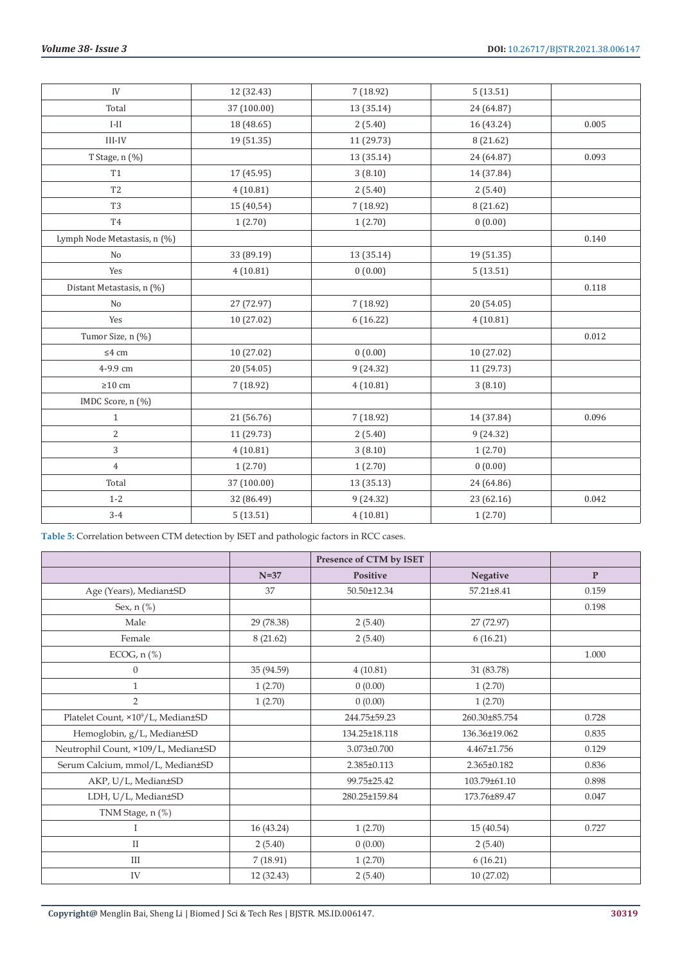| IV                           | 12 (32.43)  | 7 (18.92)  | 5(13.51)   |       |
|------------------------------|-------------|------------|------------|-------|
| Total                        | 37 (100.00) | 13 (35.14) | 24 (64.87) |       |
| $I-II$                       | 18 (48.65)  | 2(5.40)    | 16 (43.24) | 0.005 |
| $\text{III-IV}$              | 19 (51.35)  | 11 (29.73) | 8 (21.62)  |       |
| T Stage, n (%)               |             | 13 (35.14) | 24 (64.87) | 0.093 |
| <b>T1</b>                    | 17 (45.95)  | 3(8.10)    | 14 (37.84) |       |
| T <sub>2</sub>               | 4(10.81)    | 2(5.40)    | 2(5.40)    |       |
| T <sub>3</sub>               | 15 (40,54)  | 7 (18.92)  | 8 (21.62)  |       |
| <b>T4</b>                    | 1(2.70)     | 1(2.70)    | 0(0.00)    |       |
| Lymph Node Metastasis, n (%) |             |            |            | 0.140 |
| No                           | 33 (89.19)  | 13 (35.14) | 19 (51.35) |       |
| Yes                          | 4(10.81)    | 0(0.00)    | 5(13.51)   |       |
| Distant Metastasis, n (%)    |             |            |            | 0.118 |
| No                           | 27 (72.97)  | 7(18.92)   | 20 (54.05) |       |
| Yes                          | 10 (27.02)  | 6(16.22)   | 4(10.81)   |       |
| Tumor Size, n (%)            |             |            |            | 0.012 |
| $\leq 4$ cm                  | 10 (27.02)  | 0(0.00)    | 10 (27.02) |       |
| 4-9.9 cm                     | 20 (54.05)  | 9(24.32)   | 11 (29.73) |       |
| $\geq$ 10 cm                 | 7(18.92)    | 4(10.81)   | 3(8.10)    |       |
| IMDC Score, n (%)            |             |            |            |       |
| $\mathbf{1}$                 | 21 (56.76)  | 7 (18.92)  | 14 (37.84) | 0.096 |
| 2                            | 11 (29.73)  | 2(5.40)    | 9 (24.32)  |       |
| 3                            | 4(10.81)    | 3(8.10)    | 1(2.70)    |       |
| $\overline{4}$               | 1(2.70)     | 1(2.70)    | 0(0.00)    |       |
| Total                        | 37 (100.00) | 13 (35.13) | 24 (64.86) |       |
| $1 - 2$                      | 32 (86.49)  | 9(24.32)   | 23 (62.16) | 0.042 |
| $3-4$                        | 5(13.51)    | 4(10.81)   | 1(2.70)    |       |

**Table 5:** Correlation between CTM detection by ISET and pathologic factors in RCC cases.

|                                                |            | Presence of CTM by ISET |               |              |
|------------------------------------------------|------------|-------------------------|---------------|--------------|
|                                                | $N=37$     | Positive                | Negative      | $\mathbf{P}$ |
| Age (Years), Median±SD                         | 37         | 50.50±12.34             | 57.21±8.41    | 0.159        |
| Sex, n (%)                                     |            |                         |               | 0.198        |
| Male                                           | 29 (78.38) | 2(5.40)                 | 27 (72.97)    |              |
| Female                                         | 8(21.62)   | 2(5.40)                 | 6(16.21)      |              |
| ECOG, $n$ (%)                                  |            |                         |               | 1.000        |
| $\boldsymbol{0}$                               | 35 (94.59) | 4(10.81)                | 31 (83.78)    |              |
| $\mathbf{1}$                                   | 1(2.70)    | 0(0.00)                 | 1(2.70)       |              |
| $\overline{2}$                                 | 1(2.70)    | 0(0.00)                 | 1(2.70)       |              |
| Platelet Count, ×10 <sup>9</sup> /L, Median±SD |            | 244.75±59.23            | 260.30±85.754 | 0.728        |
| Hemoglobin, g/L, Median±SD                     |            | 134.25±18.118           | 136.36±19.062 | 0.835        |
| Neutrophil Count, ×109/L, Median±SD            |            | 3.073±0.700             | 4.467±1.756   | 0.129        |
| Serum Calcium, mmol/L, Median±SD               |            | 2.385±0.113             | 2.365±0.182   | 0.836        |
| AKP, U/L, Median±SD                            |            | 99.75±25.42             | 103.79±61.10  | 0.898        |
| LDH, U/L, Median±SD                            |            | 280.25±159.84           | 173.76±89.47  | 0.047        |
| TNM Stage, n (%)                               |            |                         |               |              |
| I                                              | 16 (43.24) | 1(2.70)                 | 15(40.54)     | 0.727        |
| $\mathbf{I}$                                   | 2(5.40)    | 0(0.00)                 | 2(5.40)       |              |
| $\rm III$                                      | 7(18.91)   | 1(2.70)                 | 6(16.21)      |              |
| IV                                             | 12 (32.43) | 2(5.40)                 | 10(27.02)     |              |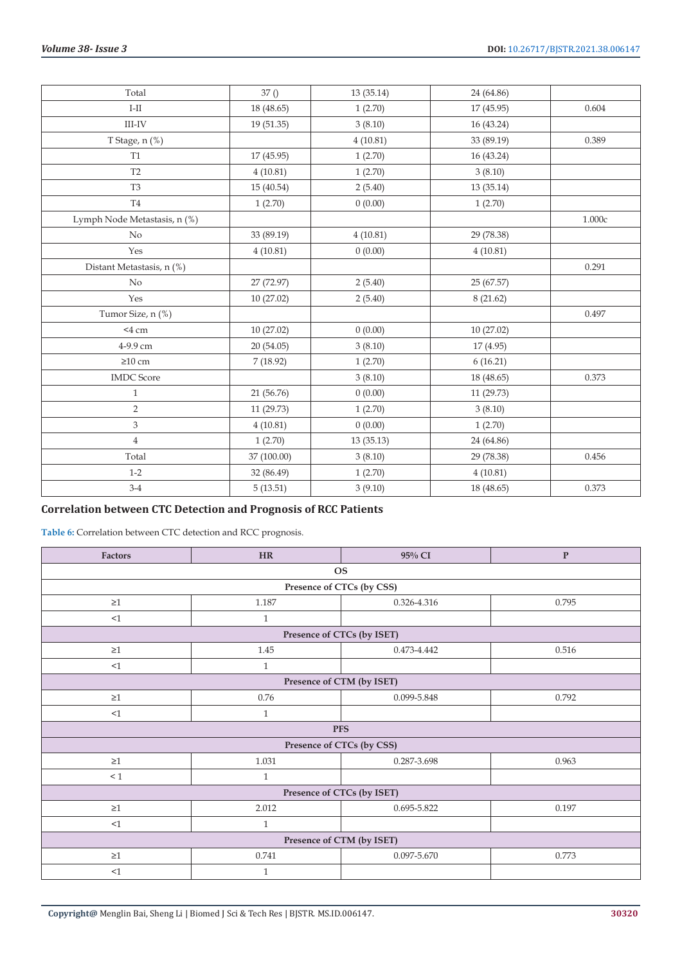| Total                        | 37()        | 13 (35.14) | 24 (64.86) |        |
|------------------------------|-------------|------------|------------|--------|
| $I-II$                       | 18 (48.65)  | 1(2.70)    | 17 (45.95) | 0.604  |
| $III$ -IV                    | 19 (51.35)  | 3(8.10)    | 16 (43.24) |        |
| T Stage, n (%)               |             | 4(10.81)   | 33 (89.19) | 0.389  |
| <b>T1</b>                    | 17 (45.95)  | 1(2.70)    | 16 (43.24) |        |
| $\operatorname{T2}$          | 4(10.81)    | 1(2.70)    | 3(8.10)    |        |
| T <sub>3</sub>               | 15 (40.54)  | 2(5.40)    | 13 (35.14) |        |
| $\operatorname{T4}$          | 1(2.70)     | 0(0.00)    | 1(2.70)    |        |
| Lymph Node Metastasis, n (%) |             |            |            | 1.000c |
| No                           | 33 (89.19)  | 4(10.81)   | 29 (78.38) |        |
| Yes                          | 4(10.81)    | 0(0.00)    | 4(10.81)   |        |
| Distant Metastasis, n (%)    |             |            |            | 0.291  |
| No                           | 27 (72.97)  | 2(5.40)    | 25 (67.57) |        |
| Yes                          | 10 (27.02)  | 2(5.40)    | 8(21.62)   |        |
| Tumor Size, n (%)            |             |            |            | 0.497  |
| $<$ 4 cm                     | 10 (27.02)  | 0(0.00)    | 10 (27.02) |        |
| 4-9.9 cm                     | 20 (54.05)  | 3(8.10)    | 17 (4.95)  |        |
| $\geq$ 10 cm                 | 7(18.92)    | 1(2.70)    | 6(16.21)   |        |
| <b>IMDC</b> Score            |             | 3(8.10)    | 18 (48.65) | 0.373  |
| $\mathbf{1}$                 | 21 (56.76)  | 0(0.00)    | 11 (29.73) |        |
| $\overline{2}$               | 11 (29.73)  | 1(2.70)    | 3(8.10)    |        |
| $\mathfrak{Z}$               | 4(10.81)    | 0(0.00)    | 1(2.70)    |        |
| $\overline{4}$               | 1(2.70)     | 13 (35.13) | 24 (64.86) |        |
| Total                        | 37 (100.00) | 3(8.10)    | 29 (78.38) | 0.456  |
| $1 - 2$                      | 32 (86.49)  | 1(2.70)    | 4(10.81)   |        |
| $3-4$                        | 5(13.51)    | 3(9.10)    | 18 (48.65) | 0.373  |

# **Correlation between CTC Detection and Prognosis of RCC Patients**

**Table 6:** Correlation between CTC detection and RCC prognosis.

| Factors                   | <b>HR</b>                  | 95% CI      | $\mathbf P$ |  |  |  |  |
|---------------------------|----------------------------|-------------|-------------|--|--|--|--|
| <b>OS</b>                 |                            |             |             |  |  |  |  |
| Presence of CTCs (by CSS) |                            |             |             |  |  |  |  |
| $\geq$ 1                  | 1.187                      | 0.326-4.316 | 0.795       |  |  |  |  |
| $<\!\!1$                  | $\mathbf{1}$               |             |             |  |  |  |  |
|                           | Presence of CTCs (by ISET) |             |             |  |  |  |  |
| $\geq1$                   | 1.45                       | 0.473-4.442 | 0.516       |  |  |  |  |
| <1                        | $\mathbf{1}$               |             |             |  |  |  |  |
|                           | Presence of CTM (by ISET)  |             |             |  |  |  |  |
| $\geq1$                   | 0.76                       | 0.099-5.848 | 0.792       |  |  |  |  |
| <1                        | $\mathbf{1}$               |             |             |  |  |  |  |
|                           | <b>PFS</b>                 |             |             |  |  |  |  |
|                           | Presence of CTCs (by CSS)  |             |             |  |  |  |  |
| $\geq1$                   | 1.031                      | 0.287-3.698 | 0.963       |  |  |  |  |
| $\leq 1$                  | $\mathbf{1}$               |             |             |  |  |  |  |
|                           | Presence of CTCs (by ISET) |             |             |  |  |  |  |
| $\geq$ 1                  | 2.012                      | 0.695-5.822 | 0.197       |  |  |  |  |
| <1                        | $\mathbf{1}$               |             |             |  |  |  |  |
| Presence of CTM (by ISET) |                            |             |             |  |  |  |  |
| $\geq1$                   | 0.741                      | 0.097-5.670 | 0.773       |  |  |  |  |
| <1                        | $\mathbf{1}$               |             |             |  |  |  |  |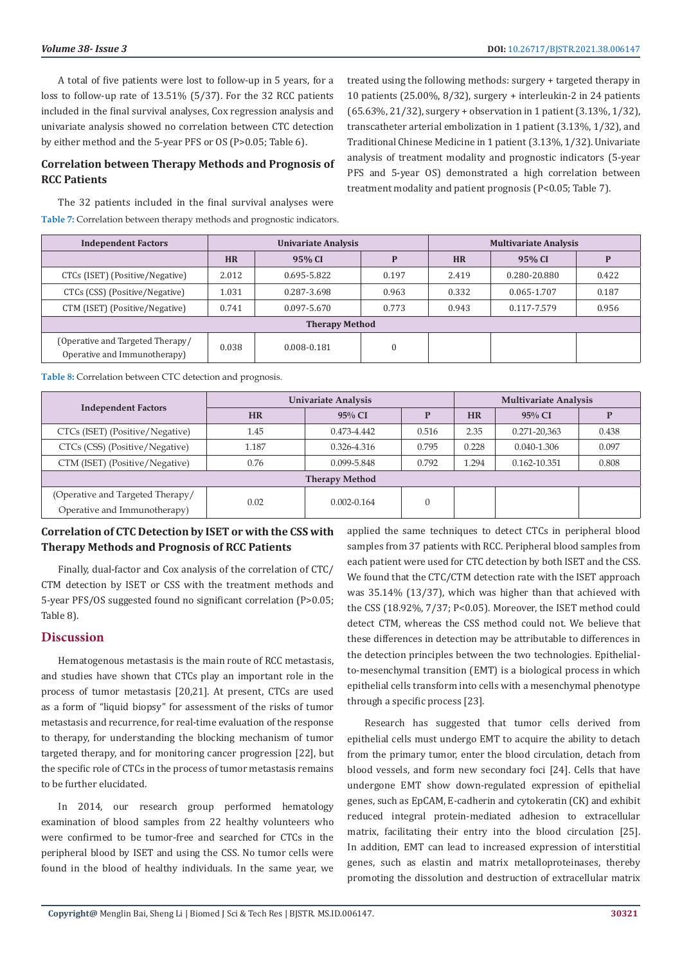A total of five patients were lost to follow-up in 5 years, for a loss to follow-up rate of 13.51% (5/37). For the 32 RCC patients included in the final survival analyses, Cox regression analysis and univariate analysis showed no correlation between CTC detection by either method and the 5-year PFS or OS (P>0.05; Table 6).

# **Correlation between Therapy Methods and Prognosis of RCC Patients**

The 32 patients included in the final survival analyses were **Table 7:** Correlation between therapy methods and prognostic indicators.

treated using the following methods: surgery + targeted therapy in 10 patients (25.00%, 8/32), surgery + interleukin-2 in 24 patients (65.63%, 21/32), surgery + observation in 1 patient (3.13%, 1/32), transcatheter arterial embolization in 1 patient (3.13%, 1/32), and Traditional Chinese Medicine in 1 patient (3.13%, 1/32). Univariate analysis of treatment modality and prognostic indicators (5-year PFS and 5-year OS) demonstrated a high correlation between treatment modality and patient prognosis (P<0.05; Table 7).

| <b>Independent Factors</b>                                       | Univariate Analysis   |             |       |           |              |       |  | <b>Multivariate Analysis</b> |  |
|------------------------------------------------------------------|-----------------------|-------------|-------|-----------|--------------|-------|--|------------------------------|--|
|                                                                  | <b>HR</b>             | 95% CI      | D     | <b>HR</b> | 95% CI       | P     |  |                              |  |
| CTCs (ISET) (Positive/Negative)                                  | 2.012                 | 0.695-5.822 | 0.197 | 2.419     | 0.280-20.880 | 0.422 |  |                              |  |
| CTCs (CSS) (Positive/Negative)                                   | 1.031                 | 0.287-3.698 | 0.963 | 0.332     | 0.065-1.707  | 0.187 |  |                              |  |
| CTM (ISET) (Positive/Negative)                                   | 0.741                 | 0.097-5.670 | 0.773 | 0.943     | 0.117-7.579  | 0.956 |  |                              |  |
|                                                                  | <b>Therapy Method</b> |             |       |           |              |       |  |                              |  |
| (Operative and Targeted Therapy/<br>Operative and Immunotherapy) | 0.038                 | 0.008-0.181 | 0     |           |              |       |  |                              |  |

**Table 8:** Correlation between CTC detection and prognosis.

|                                  | Univariate Analysis   |                 |          | <b>Multivariate Analysis</b> |              |       |
|----------------------------------|-----------------------|-----------------|----------|------------------------------|--------------|-------|
| <b>Independent Factors</b>       | <b>HR</b>             | $95\%$ CI       | P        | <b>HR</b>                    | $95\%$ CI    |       |
| CTCs (ISET) (Positive/Negative)  | 1.45                  | $0.473 - 4.442$ | 0.516    | 2.35                         | 0.271-20,363 | 0.438 |
| CTCs (CSS) (Positive/Negative)   | 1.187                 | 0.326-4.316     | 0.795    | 0.228                        | 0.040-1.306  | 0.097 |
| CTM (ISET) (Positive/Negative)   | 0.76                  | 0.099-5.848     | 0.792    | 1.294                        | 0.162-10.351 | 0.808 |
|                                  | <b>Therapy Method</b> |                 |          |                              |              |       |
| (Operative and Targeted Therapy/ | 0.02                  | $0.002 - 0.164$ | $\theta$ |                              |              |       |
| Operative and Immunotherapy)     |                       |                 |          |                              |              |       |

# **Correlation of CTC Detection by ISET or with the CSS with Therapy Methods and Prognosis of RCC Patients**

Finally, dual-factor and Cox analysis of the correlation of CTC/ CTM detection by ISET or CSS with the treatment methods and 5-year PFS/OS suggested found no significant correlation (P>0.05; Table 8).

# **Discussion**

Hematogenous metastasis is the main route of RCC metastasis, and studies have shown that CTCs play an important role in the process of tumor metastasis [20,21]. At present, CTCs are used as a form of "liquid biopsy" for assessment of the risks of tumor metastasis and recurrence, for real-time evaluation of the response to therapy, for understanding the blocking mechanism of tumor targeted therapy, and for monitoring cancer progression [22], but the specific role of CTCs in the process of tumor metastasis remains to be further elucidated.

In 2014, our research group performed hematology examination of blood samples from 22 healthy volunteers who were confirmed to be tumor-free and searched for CTCs in the peripheral blood by ISET and using the CSS. No tumor cells were found in the blood of healthy individuals. In the same year, we

applied the same techniques to detect CTCs in peripheral blood samples from 37 patients with RCC. Peripheral blood samples from each patient were used for CTC detection by both ISET and the CSS. We found that the CTC/CTM detection rate with the ISET approach was 35.14% (13/37), which was higher than that achieved with the CSS (18.92%, 7/37; P<0.05). Moreover, the ISET method could detect CTM, whereas the CSS method could not. We believe that these differences in detection may be attributable to differences in the detection principles between the two technologies. Epithelialto-mesenchymal transition (EMT) is a biological process in which epithelial cells transform into cells with a mesenchymal phenotype through a specific process [23].

Research has suggested that tumor cells derived from epithelial cells must undergo EMT to acquire the ability to detach from the primary tumor, enter the blood circulation, detach from blood vessels, and form new secondary foci [24]. Cells that have undergone EMT show down-regulated expression of epithelial genes, such as EpCAM, E-cadherin and cytokeratin (CK) and exhibit reduced integral protein-mediated adhesion to extracellular matrix, facilitating their entry into the blood circulation [25]. In addition, EMT can lead to increased expression of interstitial genes, such as elastin and matrix metalloproteinases, thereby promoting the dissolution and destruction of extracellular matrix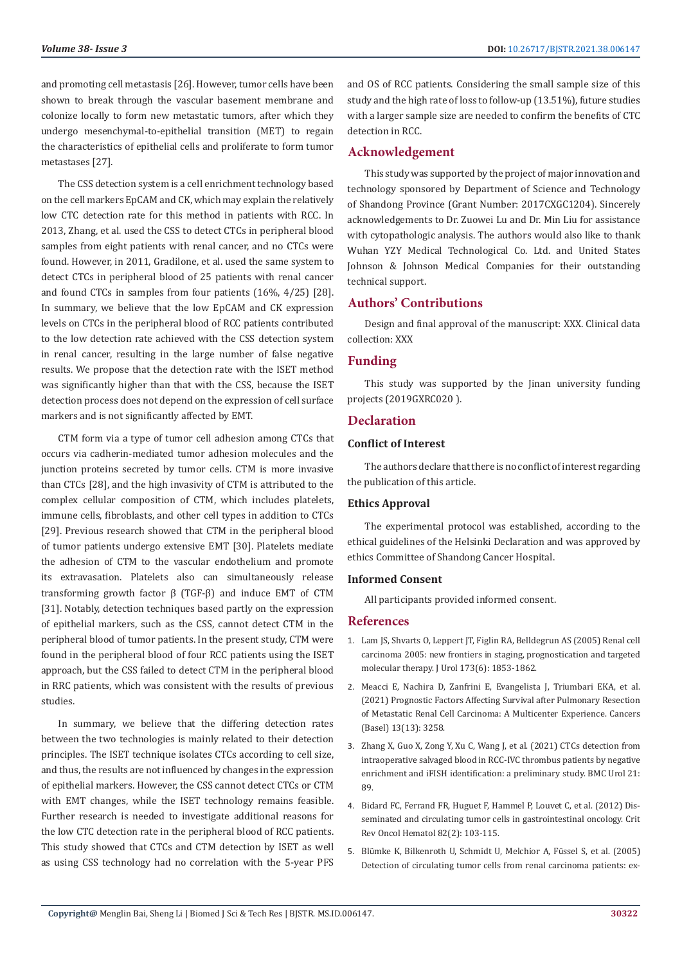and promoting cell metastasis [26]. However, tumor cells have been shown to break through the vascular basement membrane and colonize locally to form new metastatic tumors, after which they undergo mesenchymal-to-epithelial transition (MET) to regain the characteristics of epithelial cells and proliferate to form tumor metastases [27].

The CSS detection system is a cell enrichment technology based on the cell markers EpCAM and CK, which may explain the relatively low CTC detection rate for this method in patients with RCC. In 2013, Zhang, et al. used the CSS to detect CTCs in peripheral blood samples from eight patients with renal cancer, and no CTCs were found. However, in 2011, Gradilone, et al. used the same system to detect CTCs in peripheral blood of 25 patients with renal cancer and found CTCs in samples from four patients (16%, 4/25) [28]. In summary, we believe that the low EpCAM and CK expression levels on CTCs in the peripheral blood of RCC patients contributed to the low detection rate achieved with the CSS detection system in renal cancer, resulting in the large number of false negative results. We propose that the detection rate with the ISET method was significantly higher than that with the CSS, because the ISET detection process does not depend on the expression of cell surface markers and is not significantly affected by EMT.

CTM form via a type of tumor cell adhesion among CTCs that occurs via cadherin-mediated tumor adhesion molecules and the junction proteins secreted by tumor cells. CTM is more invasive than CTCs [28], and the high invasivity of CTM is attributed to the complex cellular composition of CTM, which includes platelets, immune cells, fibroblasts, and other cell types in addition to CTCs [29]. Previous research showed that CTM in the peripheral blood of tumor patients undergo extensive EMT [30]. Platelets mediate the adhesion of CTM to the vascular endothelium and promote its extravasation. Platelets also can simultaneously release transforming growth factor β (TGF-β) and induce EMT of CTM [31]. Notably, detection techniques based partly on the expression of epithelial markers, such as the CSS, cannot detect CTM in the peripheral blood of tumor patients. In the present study, CTM were found in the peripheral blood of four RCC patients using the ISET approach, but the CSS failed to detect CTM in the peripheral blood in RRC patients, which was consistent with the results of previous studies.

In summary, we believe that the differing detection rates between the two technologies is mainly related to their detection principles. The ISET technique isolates CTCs according to cell size, and thus, the results are not influenced by changes in the expression of epithelial markers. However, the CSS cannot detect CTCs or CTM with EMT changes, while the ISET technology remains feasible. Further research is needed to investigate additional reasons for the low CTC detection rate in the peripheral blood of RCC patients. This study showed that CTCs and CTM detection by ISET as well as using CSS technology had no correlation with the 5-year PFS and OS of RCC patients. Considering the small sample size of this study and the high rate of loss to follow-up (13.51%), future studies with a larger sample size are needed to confirm the benefits of CTC detection in RCC.

# **Acknowledgement**

This study was supported by the project of major innovation and technology sponsored by Department of Science and Technology of Shandong Province (Grant Number: 2017CXGC1204). Sincerely acknowledgements to Dr. Zuowei Lu and Dr. Min Liu for assistance with cytopathologic analysis. The authors would also like to thank Wuhan YZY Medical Technological Co. Ltd. and United States Johnson & Johnson Medical Companies for their outstanding technical support.

# **Authors' Contributions**

Design and final approval of the manuscript: XXX. Clinical data collection: XXX

# **Funding**

This study was supported by the Jinan university funding projects (2019GXRC020 ).

# **Declaration**

# **Conflict of Interest**

The authors declare that there is no conflict of interest regarding the publication of this article.

#### **Ethics Approval**

The experimental protocol was established, according to the ethical guidelines of the Helsinki Declaration and was approved by ethics Committee of Shandong Cancer Hospital.

#### **Informed Consent**

All participants provided informed consent.

#### **References**

- 1. [Lam JS, Shvarts O, Leppert JT, Figlin RA, Belldegrun AS \(2005\) Renal cell](https://pubmed.ncbi.nlm.nih.gov/15879764/) [carcinoma 2005: new frontiers in staging, prognostication and targeted](https://pubmed.ncbi.nlm.nih.gov/15879764/) [molecular therapy. J Urol 173\(6\): 1853-1862.](https://pubmed.ncbi.nlm.nih.gov/15879764/)
- 2. [Meacci E, Nachira D, Zanfrini E, Evangelista J, Triumbari EKA, et al.](https://pubmed.ncbi.nlm.nih.gov/34209819/) [\(2021\) Prognostic Factors Affecting Survival after Pulmonary Resection](https://pubmed.ncbi.nlm.nih.gov/34209819/) [of Metastatic Renal Cell Carcinoma: A Multicenter Experience. Cancers](https://pubmed.ncbi.nlm.nih.gov/34209819/) [\(Basel\) 13\(13\): 3258.](https://pubmed.ncbi.nlm.nih.gov/34209819/)
- 3. [Zhang X, Guo X, Zong Y, Xu C, Wang J, et al. \(2021\) CTCs detection from](https://bmcurol.biomedcentral.com/articles/10.1186/s12894-021-00803-w) [intraoperative salvaged blood in RCC-IVC thrombus patients by negative](https://bmcurol.biomedcentral.com/articles/10.1186/s12894-021-00803-w) [enrichment and iFISH identification: a preliminary study. BMC Urol 21:](https://bmcurol.biomedcentral.com/articles/10.1186/s12894-021-00803-w) [89.](https://bmcurol.biomedcentral.com/articles/10.1186/s12894-021-00803-w)
- 4. [Bidard FC, Ferrand FR, Huguet F, Hammel P, Louvet C, et al. \(2012\) Dis](https://pubmed.ncbi.nlm.nih.gov/21680197/)[seminated and circulating tumor cells in gastrointestinal oncology. Crit](https://pubmed.ncbi.nlm.nih.gov/21680197/) [Rev Oncol Hematol 82\(2\): 103-115.](https://pubmed.ncbi.nlm.nih.gov/21680197/)
- 5. Blü[mke K, Bilkenroth U, Schmidt U, Melchior A, F](https://pubmed.ncbi.nlm.nih.gov/16142348/)üssel S, et al. (2005) [Detection of circulating tumor cells from renal carcinoma patients: ex-](https://pubmed.ncbi.nlm.nih.gov/16142348/)